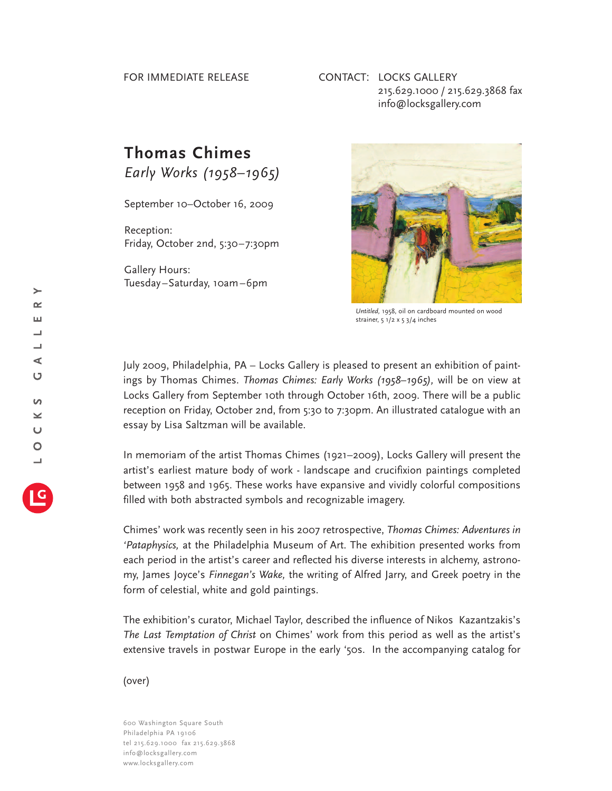## FOR IMMEDIATE RELEASE

## CONTACT: LOCKS GALLERY 215.629.1000 / 215.629.3868 fax info@locksgallery.com

## **Thomas Chimes**

*Early Works (1958–1965)*

September 10–October 16, 2009

Reception: Friday, October 2nd, 5:30–7:30pm

Gallery Hours: Tuesday–Saturday, 10am–6pm



*Untitled,* 1958, oil on cardboard mounted on wood strainer, 5 1/2 x 5 3/4 inches

July 2009, Philadelphia, PA – Locks Gallery is pleased to present an exhibition of paintings by Thomas Chimes. *Thomas Chimes: Early Works (1958–1965),* will be on view at Locks Gallery from September 10th through October 16th, 2009. There will be a public reception on Friday, October 2nd, from 5:30 to 7:30pm. An illustrated catalogue with an essay by Lisa Saltzman will be available.

In memoriam of the artist Thomas Chimes (1921–2009), Locks Gallery will present the artist's earliest mature body of work - landscape and crucifixion paintings completed between 1958 and 1965. These works have expansive and vividly colorful compositions filled with both abstracted symbols and recognizable imagery.

Chimes' work was recently seen in his 2007 retrospective, *Thomas Chimes: Adventures in 'Pataphysics,* at the Philadelphia Museum of Art. The exhibition presented works from each period in the artist's career and reflected his diverse interests in alchemy, astronomy, James Joyce's *Finnegan's Wake,* the writing of Alfred Jarry, and Greek poetry in the form of celestial, white and gold paintings.

The exhibition's curator, Michael Taylor, described the influence of Nikos Kazantzakis's *The Last Temptation of Christ* on Chimes' work from this period as well as the artist's extensive travels in postwar Europe in the early '50s. In the accompanying catalog for

(over)

600 Washington Square South Philadelphia PA 19106 tel 215.629.1000 fax 215.629.3868 info@locksgallery.com www.locksgallery.com